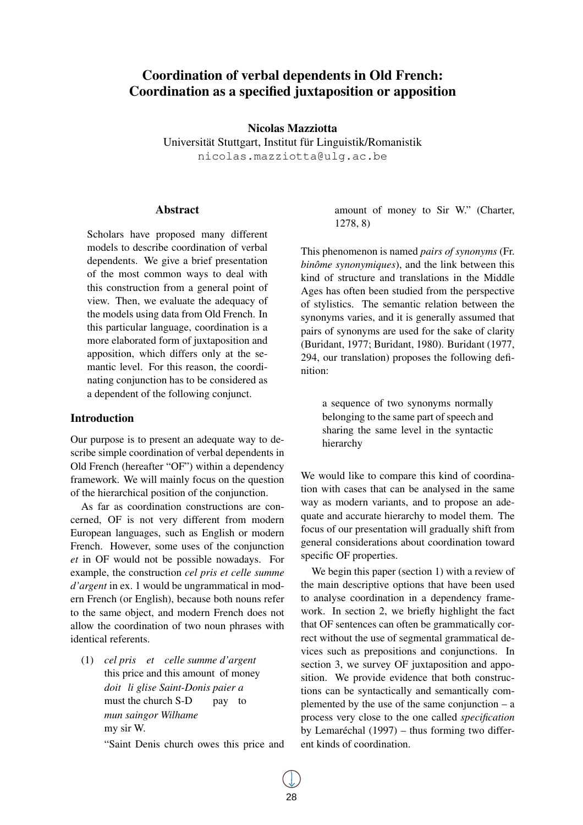# Coordination of verbal dependents in Old French: Coordination as a specified juxtaposition or apposition

Nicolas Mazziotta

Universität Stuttgart, Institut für Linguistik/Romanistik nicolas.mazziotta@ulg.ac.be

### Abstract

Scholars have proposed many different models to describe coordination of verbal dependents. We give a brief presentation of the most common ways to deal with this construction from a general point of view. Then, we evaluate the adequacy of the models using data from Old French. In this particular language, coordination is a more elaborated form of juxtaposition and apposition, which differs only at the semantic level. For this reason, the coordinating conjunction has to be considered as a dependent of the following conjunct.

### Introduction

Our purpose is to present an adequate way to describe simple coordination of verbal dependents in Old French (hereafter "OF") within a dependency framework. We will mainly focus on the question of the hierarchical position of the conjunction.

As far as coordination constructions are concerned, OF is not very different from modern European languages, such as English or modern French. However, some uses of the conjunction *et* in OF would not be possible nowadays. For example, the construction *cel pris et celle summe d'argent* in ex. 1 would be ungrammatical in modern French (or English), because both nouns refer to the same object, and modern French does not allow the coordination of two noun phrases with identical referents.

(1) *cel pris et celle summe d'argent* this price and this amount of money *doit li glise Saint-Donis paier a* must the church S-D pay to *mun saingor Wilhame* my sir W.

"Saint Denis church owes this price and

amount of money to Sir W." (Charter, 1278, 8)

This phenomenon is named *pairs of synonyms* (Fr. *binôme synonymiques*), and the link between this kind of structure and translations in the Middle Ages has often been studied from the perspective of stylistics. The semantic relation between the synonyms varies, and it is generally assumed that pairs of synonyms are used for the sake of clarity (Buridant, 1977; Buridant, 1980). Buridant (1977, 294, our translation) proposes the following definition:

a sequence of two synonyms normally belonging to the same part of speech and sharing the same level in the syntactic hierarchy

We would like to compare this kind of coordination with cases that can be analysed in the same way as modern variants, and to propose an adequate and accurate hierarchy to model them. The focus of our presentation will gradually shift from general considerations about coordination toward specific OF properties.

We begin this paper (section 1) with a review of the main descriptive options that have been used to analyse coordination in a dependency framework. In section 2, we briefly highlight the fact that OF sentences can often be grammatically correct without the use of segmental grammatical devices such as prepositions and conjunctions. In section 3, we survey OF juxtaposition and apposition. We provide evidence that both constructions can be syntactically and semantically complemented by the use of the same conjunction  $- a$ process very close to the one called *specification* by Lemaréchal (1997) – thus forming two different kinds of coordination.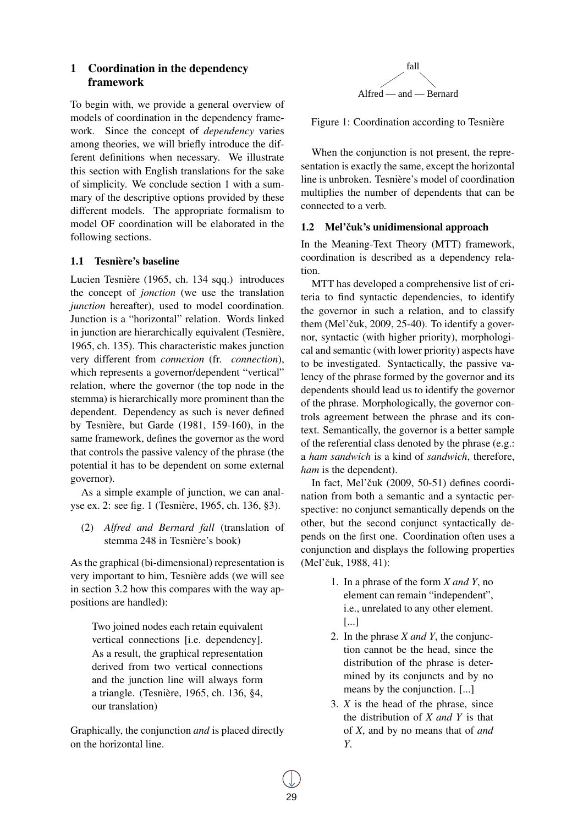# 1 Coordination in the dependency framework

To begin with, we provide a general overview of models of coordination in the dependency framework. Since the concept of *dependency* varies among theories, we will briefly introduce the different definitions when necessary. We illustrate this section with English translations for the sake of simplicity. We conclude section 1 with a summary of the descriptive options provided by these different models. The appropriate formalism to model OF coordination will be elaborated in the following sections.

### 1.1 Tesnière's baseline

Lucien Tesnière (1965, ch. 134 sqq.) introduces the concept of *jonction* (we use the translation *junction* hereafter), used to model coordination. Junction is a "horizontal" relation. Words linked in junction are hierarchically equivalent (Tesnière, 1965, ch. 135). This characteristic makes junction very different from *connexion* (fr. *connection*), which represents a governor/dependent "vertical" relation, where the governor (the top node in the stemma) is hierarchically more prominent than the dependent. Dependency as such is never defined by Tesnière, but Garde (1981, 159-160), in the same framework, defines the governor as the word that controls the passive valency of the phrase (the potential it has to be dependent on some external governor).

As a simple example of junction, we can analyse ex. 2: see fig. 1 (Tesnière, 1965, ch. 136, §3).

(2) *Alfred and Bernard fall* (translation of stemma 248 in Tesnière's book)

As the graphical (bi-dimensional) representation is very important to him, Tesnière adds (we will see in section 3.2 how this compares with the way appositions are handled):

Two joined nodes each retain equivalent vertical connections [i.e. dependency]. As a result, the graphical representation derived from two vertical connections and the junction line will always form a triangle. (Tesnière, 1965, ch. 136, §4, our translation)

Graphically, the conjunction *and* is placed directly on the horizontal line.



Figure 1: Coordination according to Tesnière

When the conjunction is not present, the representation is exactly the same, except the horizontal line is unbroken. Tesnière's model of coordination multiplies the number of dependents that can be connected to a verb.

### 1.2 Mel'čuk's unidimensional approach

In the Meaning-Text Theory (MTT) framework, coordination is described as a dependency relation.

MTT has developed a comprehensive list of criteria to find syntactic dependencies, to identify the governor in such a relation, and to classify them (Mel'čuk, 2009, 25-40). To identify a governor, syntactic (with higher priority), morphological and semantic (with lower priority) aspects have to be investigated. Syntactically, the passive valency of the phrase formed by the governor and its dependents should lead us to identify the governor of the phrase. Morphologically, the governor controls agreement between the phrase and its context. Semantically, the governor is a better sample of the referential class denoted by the phrase (e.g.: a *ham sandwich* is a kind of *sandwich*, therefore, *ham* is the dependent).

In fact, Mel'čuk  $(2009, 50-51)$  defines coordination from both a semantic and a syntactic perspective: no conjunct semantically depends on the other, but the second conjunct syntactically depends on the first one. Coordination often uses a conjunction and displays the following properties (Mel'čuk, 1988, 41):

- 1. In a phrase of the form *X and Y*, no element can remain "independent", i.e., unrelated to any other element. [...]
- 2. In the phrase *X and Y*, the conjunction cannot be the head, since the distribution of the phrase is determined by its conjuncts and by no means by the conjunction. [...]
- 3. *X* is the head of the phrase, since the distribution of *X and Y* is that of *X*, and by no means that of *and Y*.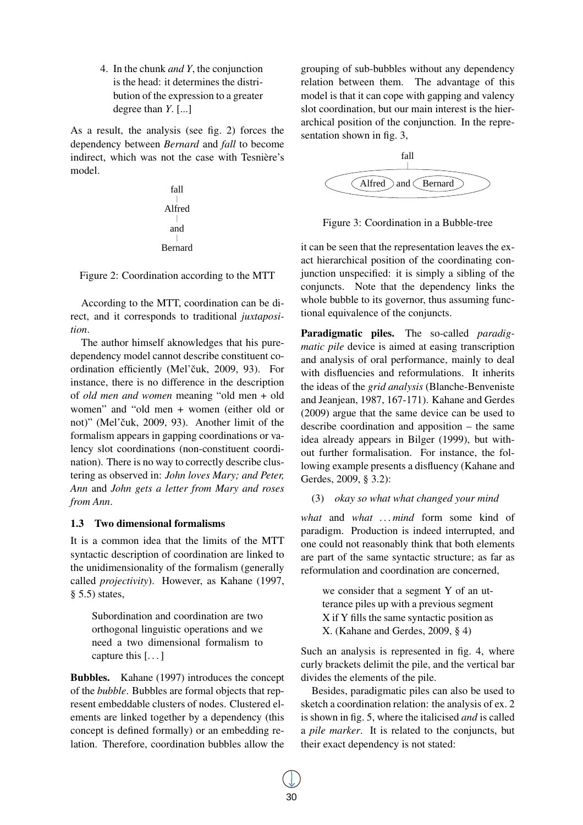4. In the chunk *and Y*, the conjunction is the head: it determines the distribution of the expression to a greater degree than *Y*. [...]

As a result, the analysis (see fig. 2) forces the dependency between *Bernard* and *fall* to become indirect, which was not the case with Tesnière's model.



Figure 2: Coordination according to the MTT

According to the MTT, coordination can be direct, and it corresponds to traditional *juxtaposition*.

The author himself aknowledges that his puredependency model cannot describe constituent coordination efficiently (Mel'čuk, 2009, 93). For instance, there is no difference in the description of *old men and women* meaning "old men + old women" and "old men + women (either old or not)" (Mel'čuk, 2009, 93). Another limit of the formalism appears in gapping coordinations or valency slot coordinations (non-constituent coordination). There is no way to correctly describe clustering as observed in: *John loves Mary; and Peter, Ann* and *John gets a letter from Mary and roses from Ann*.

### 1.3 Two dimensional formalisms

It is a common idea that the limits of the MTT syntactic description of coordination are linked to the unidimensionality of the formalism (generally called *projectivity*). However, as Kahane (1997, § 5.5) states,

Subordination and coordination are two orthogonal linguistic operations and we need a two dimensional formalism to capture this [. . . ]

Bubbles. Kahane (1997) introduces the concept of the *bubble*. Bubbles are formal objects that represent embeddable clusters of nodes. Clustered elements are linked together by a dependency (this concept is defined formally) or an embedding relation. Therefore, coordination bubbles allow the grouping of sub-bubbles without any dependency relation between them. The advantage of this model is that it can cope with gapping and valency slot coordination, but our main interest is the hierarchical position of the conjunction. In the representation shown in fig. 3,



Figure 3: Coordination in a Bubble-tree

it can be seen that the representation leaves the exact hierarchical position of the coordinating conjunction unspecified: it is simply a sibling of the conjuncts. Note that the dependency links the whole bubble to its governor, thus assuming functional equivalence of the conjuncts.

Paradigmatic piles. The so-called *paradigmatic pile* device is aimed at easing transcription and analysis of oral performance, mainly to deal with disfluencies and reformulations. It inherits the ideas of the *grid analysis* (Blanche-Benveniste and Jeanjean, 1987, 167-171). Kahane and Gerdes (2009) argue that the same device can be used to describe coordination and apposition – the same idea already appears in Bilger (1999), but without further formalisation. For instance, the following example presents a disfluency (Kahane and Gerdes, 2009, § 3.2):

# (3) *okay so what what changed your mind*

*what* and *what . . . mind* form some kind of paradigm. Production is indeed interrupted, and one could not reasonably think that both elements are part of the same syntactic structure; as far as reformulation and coordination are concerned,

we consider that a segment Y of an utterance piles up with a previous segment X if Y fills the same syntactic position as X. (Kahane and Gerdes, 2009, § 4)

Such an analysis is represented in fig. 4, where curly brackets delimit the pile, and the vertical bar divides the elements of the pile.

Besides, paradigmatic piles can also be used to sketch a coordination relation: the analysis of ex. 2 is shown in fig. 5, where the italicised *and* is called a *pile marker*. It is related to the conjuncts, but their exact dependency is not stated: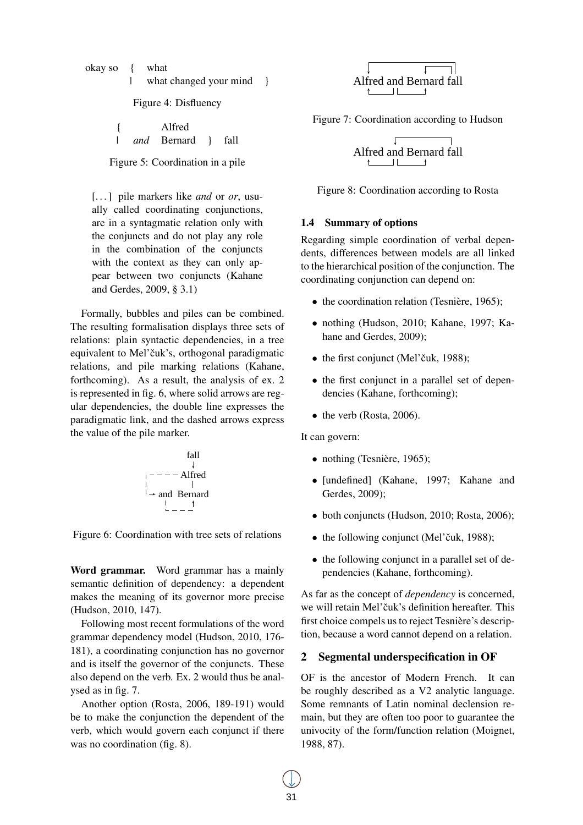okay so { what | what changed your mind }

Figure 4: Disfluency

|  | Alfred      |       |
|--|-------------|-------|
|  | and Bernard | -fall |

Figure 5: Coordination in a pile

[. . . ] pile markers like *and* or *or*, usually called coordinating conjunctions, are in a syntagmatic relation only with the conjuncts and do not play any role in the combination of the conjuncts with the context as they can only appear between two conjuncts (Kahane and Gerdes, 2009, § 3.1)

Formally, bubbles and piles can be combined. The resulting formalisation displays three sets of relations: plain syntactic dependencies, in a tree equivalent to Mel'čuk's, orthogonal paradigmatic relations, and pile marking relations (Kahane, forthcoming). As a result, the analysis of ex. 2 is represented in fig. 6, where solid arrows are regular dependencies, the double line expresses the paradigmatic link, and the dashed arrows express the value of the pile marker.

fall  
\n
$$
\downarrow
$$
\n
$$
\downarrow
$$
\n
$$
\downarrow
$$
\n
$$
\downarrow
$$
\nand Bernard\n
$$
\downarrow
$$
\n
$$
\downarrow
$$
\n
$$
\downarrow
$$
\n
$$
\downarrow
$$
\n
$$
\downarrow
$$
\n
$$
\downarrow
$$
\n
$$
\downarrow
$$
\n
$$
\downarrow
$$
\n
$$
\downarrow
$$
\n
$$
\downarrow
$$
\n
$$
\downarrow
$$
\n
$$
\downarrow
$$
\n
$$
\downarrow
$$
\n
$$
\downarrow
$$
\n
$$
\downarrow
$$
\n
$$
\downarrow
$$
\n
$$
\downarrow
$$
\n
$$
\downarrow
$$
\n
$$
\downarrow
$$
\n
$$
\downarrow
$$
\n
$$
\downarrow
$$
\n
$$
\downarrow
$$
\n
$$
\downarrow
$$
\n
$$
\downarrow
$$
\n
$$
\downarrow
$$
\n
$$
\downarrow
$$
\n
$$
\downarrow
$$
\n
$$
\downarrow
$$
\n
$$
\downarrow
$$
\n
$$
\downarrow
$$
\n
$$
\downarrow
$$
\n
$$
\downarrow
$$
\n
$$
\downarrow
$$
\n
$$
\downarrow
$$
\n
$$
\downarrow
$$
\n
$$
\downarrow
$$
\n
$$
\downarrow
$$
\n
$$
\downarrow
$$
\n
$$
\downarrow
$$
\n
$$
\downarrow
$$
\n
$$
\downarrow
$$
\n
$$
\downarrow
$$
\n
$$
\downarrow
$$
\n
$$
\downarrow
$$
\n
$$
\downarrow
$$
\n
$$
\downarrow
$$
\n
$$
\downarrow
$$
\n
$$
\downarrow
$$
\n
$$
\downarrow
$$
\n
$$
\downarrow
$$
\n
$$
\downarrow
$$
\n
$$
\downarrow
$$
\n
$$
\downarrow
$$
\n
$$
\downarrow
$$
\n
$$
\downarrow
$$
\n
$$
\downarrow
$$
\n
$$
\downarrow
$$
\n
$$
\downarrow
$$
\n
$$
\downarrow
$$
\n

Figure 6: Coordination with tree sets of relations

Word grammar. Word grammar has a mainly semantic definition of dependency: a dependent makes the meaning of its governor more precise (Hudson, 2010, 147).

Following most recent formulations of the word grammar dependency model (Hudson, 2010, 176- 181), a coordinating conjunction has no governor and is itself the governor of the conjuncts. These also depend on the verb. Ex. 2 would thus be analysed as in fig. 7.

Another option (Rosta, 2006, 189-191) would be to make the conjunction the dependent of the verb, which would govern each conjunct if there was no coordination (fig. 8).



Figure 7: Coordination according to Hudson



Figure 8: Coordination according to Rosta

#### 1.4 Summary of options

Regarding simple coordination of verbal dependents, differences between models are all linked to the hierarchical position of the conjunction. The coordinating conjunction can depend on:

- the coordination relation (Tesnière, 1965);
- nothing (Hudson, 2010; Kahane, 1997; Kahane and Gerdes, 2009);
- the first conjunct (Mel'čuk, 1988);
- the first conjunct in a parallel set of dependencies (Kahane, forthcoming);
- $\bullet$  the verb (Rosta, 2006).

It can govern:

- nothing (Tesnière, 1965);
- [undefined] (Kahane, 1997; Kahane and Gerdes, 2009);
- both conjuncts (Hudson, 2010; Rosta, 2006);
- $\bullet$  the following conjunct (Mel'čuk, 1988);
- the following conjunct in a parallel set of dependencies (Kahane, forthcoming).

As far as the concept of *dependency* is concerned, we will retain Mel'čuk's definition hereafter. This first choice compels us to reject Tesnière's description, because a word cannot depend on a relation.

### 2 Segmental underspecification in OF

OF is the ancestor of Modern French. It can be roughly described as a V2 analytic language. Some remnants of Latin nominal declension remain, but they are often too poor to guarantee the univocity of the form/function relation (Moignet, 1988, 87).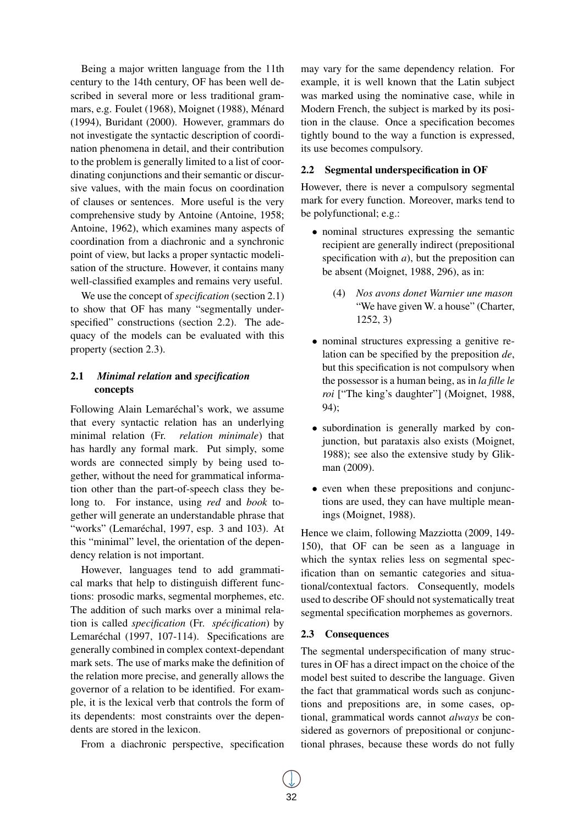Being a major written language from the 11th century to the 14th century, OF has been well described in several more or less traditional grammars, e.g. Foulet (1968), Moignet (1988), Ménard (1994), Buridant (2000). However, grammars do not investigate the syntactic description of coordination phenomena in detail, and their contribution to the problem is generally limited to a list of coordinating conjunctions and their semantic or discursive values, with the main focus on coordination of clauses or sentences. More useful is the very comprehensive study by Antoine (Antoine, 1958; Antoine, 1962), which examines many aspects of coordination from a diachronic and a synchronic point of view, but lacks a proper syntactic modelisation of the structure. However, it contains many well-classified examples and remains very useful.

We use the concept of *specification* (section 2.1) to show that OF has many "segmentally underspecified" constructions (section 2.2). The adequacy of the models can be evaluated with this property (section 2.3).

# 2.1 *Minimal relation* and *specification* concepts

Following Alain Lemaréchal's work, we assume that every syntactic relation has an underlying minimal relation (Fr. *relation minimale*) that has hardly any formal mark. Put simply, some words are connected simply by being used together, without the need for grammatical information other than the part-of-speech class they belong to. For instance, using *red* and *book* together will generate an understandable phrase that "works" (Lemaréchal, 1997, esp. 3 and 103). At this "minimal" level, the orientation of the dependency relation is not important.

However, languages tend to add grammatical marks that help to distinguish different functions: prosodic marks, segmental morphemes, etc. The addition of such marks over a minimal relation is called *specification* (Fr. *spécification*) by Lemaréchal (1997, 107-114). Specifications are generally combined in complex context-dependant mark sets. The use of marks make the definition of the relation more precise, and generally allows the governor of a relation to be identified. For example, it is the lexical verb that controls the form of its dependents: most constraints over the dependents are stored in the lexicon.

From a diachronic perspective, specification

may vary for the same dependency relation. For example, it is well known that the Latin subject was marked using the nominative case, while in Modern French, the subject is marked by its position in the clause. Once a specification becomes tightly bound to the way a function is expressed, its use becomes compulsory.

# 2.2 Segmental underspecification in OF

However, there is never a compulsory segmental mark for every function. Moreover, marks tend to be polyfunctional; e.g.:

- nominal structures expressing the semantic recipient are generally indirect (prepositional specification with *a*), but the preposition can be absent (Moignet, 1988, 296), as in:
	- (4) *Nos avons donet Warnier une mason* "We have given W. a house" (Charter, 1252, 3)
- nominal structures expressing a genitive relation can be specified by the preposition *de*, but this specification is not compulsory when the possessor is a human being, as in *la fille le roi* ["The king's daughter"] (Moignet, 1988, 94);
- subordination is generally marked by conjunction, but parataxis also exists (Moignet, 1988); see also the extensive study by Glikman (2009).
- even when these prepositions and conjunctions are used, they can have multiple meanings (Moignet, 1988).

Hence we claim, following Mazziotta (2009, 149- 150), that OF can be seen as a language in which the syntax relies less on segmental specification than on semantic categories and situational/contextual factors. Consequently, models used to describe OF should not systematically treat segmental specification morphemes as governors.

# 2.3 Consequences

The segmental underspecification of many structures in OF has a direct impact on the choice of the model best suited to describe the language. Given the fact that grammatical words such as conjunctions and prepositions are, in some cases, optional, grammatical words cannot *always* be considered as governors of prepositional or conjunctional phrases, because these words do not fully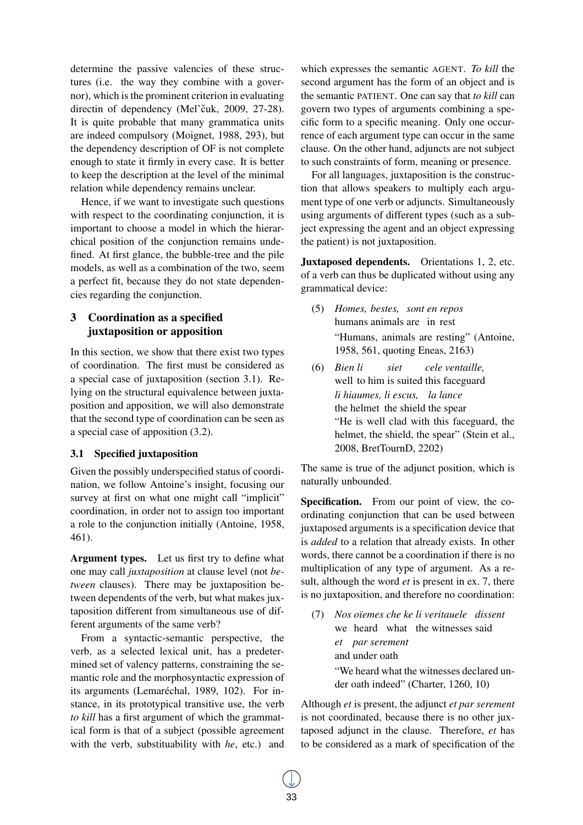determine the passive valencies of these structures (i.e. the way they combine with a governor), which is the prominent criterion in evaluating directin of dependency (Mel'čuk, 2009, 27-28). It is quite probable that many grammatica units are indeed compulsory (Moignet, 1988, 293), but the dependency description of OF is not complete enough to state it firmly in every case. It is better to keep the description at the level of the minimal relation while dependency remains unclear.

Hence, if we want to investigate such questions with respect to the coordinating conjunction, it is important to choose a model in which the hierarchical position of the conjunction remains undefined. At first glance, the bubble-tree and the pile models, as well as a combination of the two, seem a perfect fit, because they do not state dependencies regarding the conjunction.

# 3 Coordination as a specified juxtaposition or apposition

In this section, we show that there exist two types of coordination. The first must be considered as a special case of juxtaposition (section 3.1). Relying on the structural equivalence between juxtaposition and apposition, we will also demonstrate that the second type of coordination can be seen as a special case of apposition (3.2).

# 3.1 Specified juxtaposition

Given the possibly underspecified status of coordination, we follow Antoine's insight, focusing our survey at first on what one might call "implicit" coordination, in order not to assign too important a role to the conjunction initially (Antoine, 1958, 461).

Argument types. Let us first try to define what one may call *juxtaposition* at clause level (not *between* clauses). There may be juxtaposition between dependents of the verb, but what makes juxtaposition different from simultaneous use of different arguments of the same verb?

From a syntactic-semantic perspective, the verb, as a selected lexical unit, has a predetermined set of valency patterns, constraining the semantic role and the morphosyntactic expression of its arguments (Lemaréchal, 1989, 102). For instance, in its prototypical transitive use, the verb *to kill* has a first argument of which the grammatical form is that of a subject (possible agreement with the verb, substituability with *he*, etc.) and

which expresses the semantic AGENT. *To kill* the second argument has the form of an object and is the semantic PATIENT. One can say that *to kill* can govern two types of arguments combining a specific form to a specific meaning. Only one occurrence of each argument type can occur in the same clause. On the other hand, adjuncts are not subject to such constraints of form, meaning or presence.

For all languages, juxtaposition is the construction that allows speakers to multiply each argument type of one verb or adjuncts. Simultaneously using arguments of different types (such as a subject expressing the agent and an object expressing the patient) is not juxtaposition.

Juxtaposed dependents. Orientations 1, 2, etc. of a verb can thus be duplicated without using any grammatical device:

- (5) *Homes, bestes, sont en repos* humans animals are in rest "Humans, animals are resting" (Antoine, 1958, 561, quoting Eneas, 2163)
- (6) *Bien li* well to him is suited this faceguard *siet cele ventaille, li hiaumes, li escus, la lance* the helmet the shield the spear "He is well clad with this faceguard, the helmet, the shield, the spear" (Stein et al., 2008, BretTournD, 2202)

The same is true of the adjunct position, which is naturally unbounded.

Specification. From our point of view, the coordinating conjunction that can be used between juxtaposed arguments is a specification device that is *added* to a relation that already exists. In other words, there cannot be a coordination if there is no multiplication of any type of argument. As a result, although the word *et* is present in ex. 7, there is no juxtaposition, and therefore no coordination:

(7) *Nos oïemes che ke li veritauele dissent* we heard what the witnesses said *et par serement* and under oath "We heard what the witnesses declared under oath indeed" (Charter, 1260, 10)

Although *et* is present, the adjunct *et par serement* is not coordinated, because there is no other juxtaposed adjunct in the clause. Therefore, *et* has to be considered as a mark of specification of the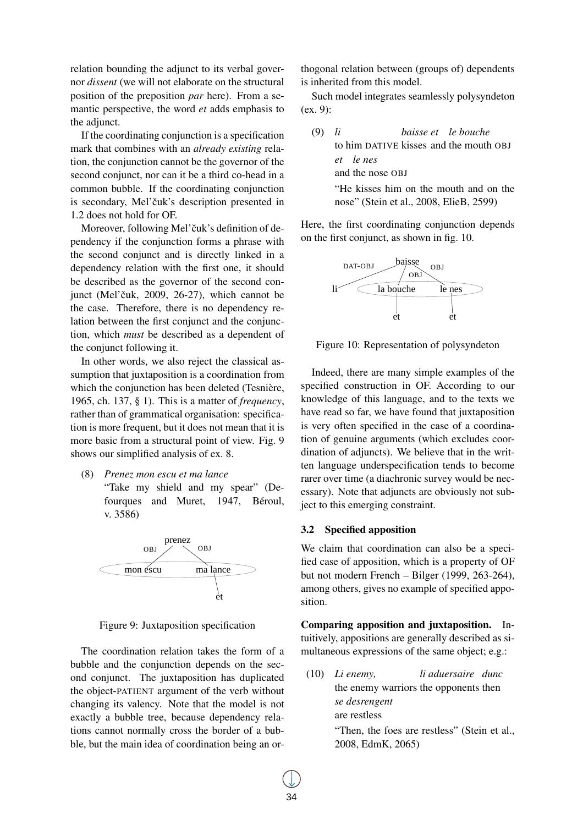relation bounding the adjunct to its verbal governor *dissent* (we will not elaborate on the structural position of the preposition *par* here). From a semantic perspective, the word *et* adds emphasis to the adjunct.

If the coordinating conjunction is a specification mark that combines with an *already existing* relation, the conjunction cannot be the governor of the second conjunct, nor can it be a third co-head in a common bubble. If the coordinating conjunction is secondary, Mel'čuk's description presented in 1.2 does not hold for OF.

Moreover, following Mel'čuk's definition of dependency if the conjunction forms a phrase with the second conjunct and is directly linked in a dependency relation with the first one, it should be described as the governor of the second conjunct (Mel'čuk, 2009, 26-27), which cannot be the case. Therefore, there is no dependency relation between the first conjunct and the conjunction, which *must* be described as a dependent of the conjunct following it.

In other words, we also reject the classical assumption that juxtaposition is a coordination from which the conjunction has been deleted (Tesnière, 1965, ch. 137, § 1). This is a matter of *frequency*, rather than of grammatical organisation: specification is more frequent, but it does not mean that it is more basic from a structural point of view. Fig. 9 shows our simplified analysis of ex. 8.

(8) *Prenez mon escu et ma lance*

"Take my shield and my spear" (Defourques and Muret, 1947, Béroul, v. 3586)



Figure 9: Juxtaposition specification

The coordination relation takes the form of a bubble and the conjunction depends on the second conjunct. The juxtaposition has duplicated the object-PATIENT argument of the verb without changing its valency. Note that the model is not exactly a bubble tree, because dependency relations cannot normally cross the border of a bubble, but the main idea of coordination being an orthogonal relation between (groups of) dependents is inherited from this model.

Such model integrates seamlessly polysyndeton (ex. 9):

| $(9)$ li | baisse et le bouche                     |
|----------|-----------------------------------------|
|          | to him DATIVE kisses and the mouth OBJ  |
|          | et le nes                               |
|          | and the nose OBJ                        |
|          | "He kisses him on the mouth and on the  |
|          | nose" (Stein et al., 2008, ElieB, 2599) |

Here, the first coordinating conjunction depends on the first conjunct, as shown in fig. 10.



Figure 10: Representation of polysyndeton

Indeed, there are many simple examples of the specified construction in OF. According to our knowledge of this language, and to the texts we have read so far, we have found that juxtaposition is very often specified in the case of a coordination of genuine arguments (which excludes coordination of adjuncts). We believe that in the written language underspecification tends to become rarer over time (a diachronic survey would be necessary). Note that adjuncts are obviously not subject to this emerging constraint.

#### 3.2 Specified apposition

We claim that coordination can also be a specified case of apposition, which is a property of OF but not modern French – Bilger (1999, 263-264), among others, gives no example of specified apposition.

Comparing apposition and juxtaposition. Intuitively, appositions are generally described as simultaneous expressions of the same object; e.g.:

(10) *Li enemy,* the enemy warriors the opponents then *li aduersaire dunc se desrengent* are restless "Then, the foes are restless" (Stein et al., 2008, EdmK, 2065)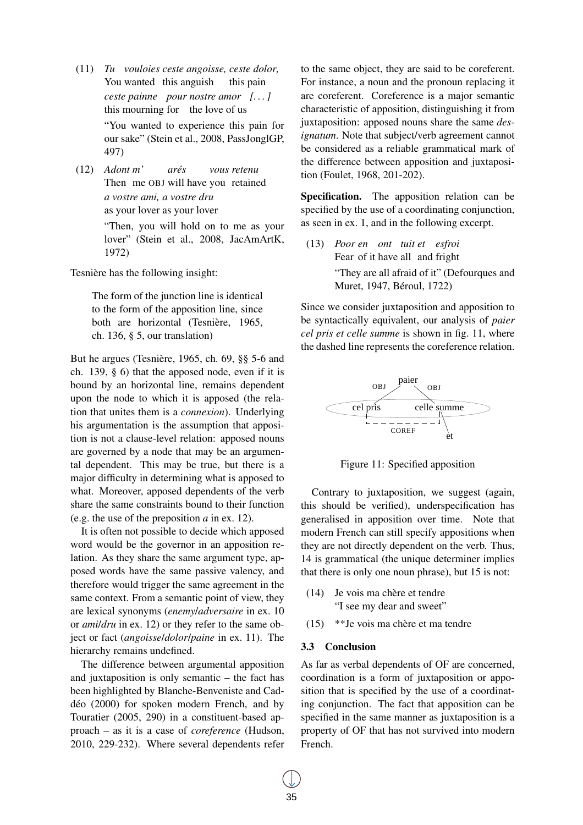- (11) *Tu vouloies ceste angoisse, ceste dolor,* You wanted this anguish this pain *ceste painne pour nostre amor [. . . ]* this mourning for the love of us "You wanted to experience this pain for our sake" (Stein et al., 2008, PassJonglGP, 497)
- (12) *Adont m'* Then me OBJ will have you retained *arés vous retenu a vostre ami, a vostre dru* as your lover as your lover "Then, you will hold on to me as your lover" (Stein et al., 2008, JacAmArtK, 1972)

Tesnière has the following insight:

The form of the junction line is identical to the form of the apposition line, since both are horizontal (Tesnière, 1965, ch. 136, § 5, our translation)

But he argues (Tesnière, 1965, ch. 69, §§ 5-6 and ch. 139, § 6) that the apposed node, even if it is bound by an horizontal line, remains dependent upon the node to which it is apposed (the relation that unites them is a *connexion*). Underlying his argumentation is the assumption that apposition is not a clause-level relation: apposed nouns are governed by a node that may be an argumental dependent. This may be true, but there is a major difficulty in determining what is apposed to what. Moreover, apposed dependents of the verb share the same constraints bound to their function (e.g. the use of the preposition *a* in ex. 12).

It is often not possible to decide which apposed word would be the governor in an apposition relation. As they share the same argument type, apposed words have the same passive valency, and therefore would trigger the same agreement in the same context. From a semantic point of view, they are lexical synonyms (*enemy*/*adversaire* in ex. 10 or *ami*/*dru* in ex. 12) or they refer to the same object or fact (*angoisse*/*dolor*/*paine* in ex. 11). The hierarchy remains undefined.

The difference between argumental apposition and juxtaposition is only semantic – the fact has been highlighted by Blanche-Benveniste and Caddéo (2000) for spoken modern French, and by Touratier (2005, 290) in a constituent-based approach – as it is a case of *coreference* (Hudson, 2010, 229-232). Where several dependents refer to the same object, they are said to be coreferent. For instance, a noun and the pronoun replacing it are coreferent. Coreference is a major semantic characteristic of apposition, distinguishing it from juxtaposition: apposed nouns share the same *designatum*. Note that subject/verb agreement cannot be considered as a reliable grammatical mark of the difference between apposition and juxtaposition (Foulet, 1968, 201-202).

Specification. The apposition relation can be specified by the use of a coordinating conjunction, as seen in ex. 1, and in the following excerpt.

(13) *Poor en ont tuit et esfroi* Fear of it have all and fright "They are all afraid of it" (Defourques and Muret, 1947, Béroul, 1722)

Since we consider juxtaposition and apposition to be syntactically equivalent, our analysis of *paier cel pris et celle summe* is shown in fig. 11, where the dashed line represents the coreference relation.



Figure 11: Specified apposition

Contrary to juxtaposition, we suggest (again, this should be verified), underspecification has generalised in apposition over time. Note that modern French can still specify appositions when they are not directly dependent on the verb. Thus, 14 is grammatical (the unique determiner implies that there is only one noun phrase), but 15 is not:

- (14) Je vois ma chère et tendre "I see my dear and sweet"
- (15) \*\*Je vois ma chère et ma tendre

#### 3.3 Conclusion

As far as verbal dependents of OF are concerned, coordination is a form of juxtaposition or apposition that is specified by the use of a coordinating conjunction. The fact that apposition can be specified in the same manner as juxtaposition is a property of OF that has not survived into modern French.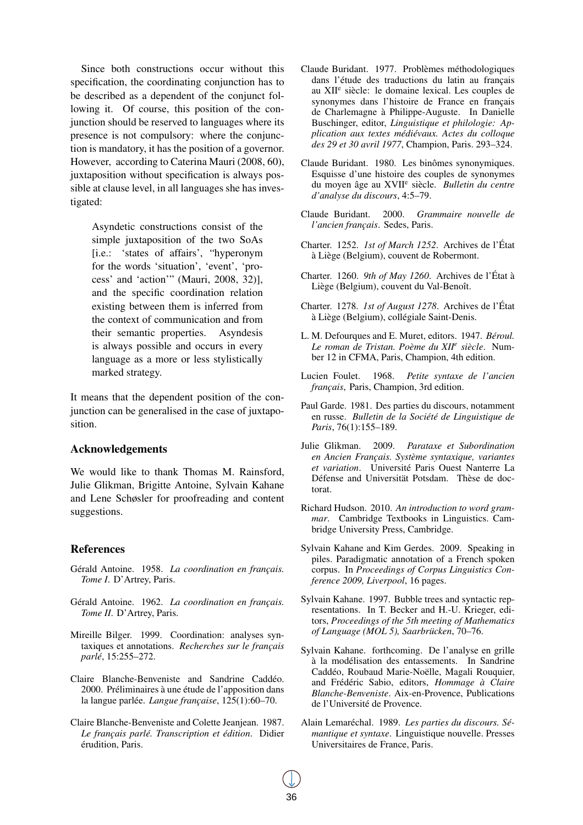Since both constructions occur without this specification, the coordinating conjunction has to be described as a dependent of the conjunct following it. Of course, this position of the conjunction should be reserved to languages where its presence is not compulsory: where the conjunction is mandatory, it has the position of a governor. However, according to Caterina Mauri (2008, 60), juxtaposition without specification is always possible at clause level, in all languages she has investigated:

Asyndetic constructions consist of the simple juxtaposition of the two SoAs [i.e.: 'states of affairs', "hyperonym for the words 'situation', 'event', 'process' and 'action'" (Mauri, 2008, 32)], and the specific coordination relation existing between them is inferred from the context of communication and from their semantic properties. Asyndesis is always possible and occurs in every language as a more or less stylistically marked strategy.

It means that the dependent position of the conjunction can be generalised in the case of juxtaposition.

### Acknowledgements

We would like to thank Thomas M. Rainsford, Julie Glikman, Brigitte Antoine, Sylvain Kahane and Lene Schøsler for proofreading and content suggestions.

### References

- Gérald Antoine. 1958. *La coordination en français. Tome I*. D'Artrey, Paris.
- Gérald Antoine. 1962. *La coordination en français. Tome II*. D'Artrey, Paris.
- Mireille Bilger. 1999. Coordination: analyses syntaxiques et annotations. *Recherches sur le français parlé*, 15:255–272.
- Claire Blanche-Benveniste and Sandrine Caddéo. 2000. Préliminaires à une étude de l'apposition dans la langue parlée. *Langue française*, 125(1):60–70.
- Claire Blanche-Benveniste and Colette Jeanjean. 1987. *Le français parlé. Transcription et édition*. Didier érudition, Paris.
- Claude Buridant. 1977. Problèmes méthodologiques dans l'étude des traductions du latin au français au XII<sup>e</sup> siècle: le domaine lexical. Les couples de synonymes dans l'histoire de France en français de Charlemagne à Philippe-Auguste. In Danielle Buschinger, editor, *Linguistique et philologie: Application aux textes médiévaux. Actes du colloque des 29 et 30 avril 1977*, Champion, Paris. 293–324.
- Claude Buridant. 1980. Les binômes synonymiques. Esquisse d'une histoire des couples de synonymes du moyen âge au XVII<sup>e</sup> siècle. *Bulletin du centre d'analyse du discours*, 4:5–79.
- Claude Buridant. 2000. *Grammaire nouvelle de l'ancien français*. Sedes, Paris.
- Charter. 1252. *1st of March 1252*. Archives de l'État à Liège (Belgium), couvent de Robermont.
- Charter. 1260. *9th of May 1260*. Archives de l'État à Liège (Belgium), couvent du Val-Benoît.
- Charter. 1278. *1st of August 1278*. Archives de l'État à Liège (Belgium), collégiale Saint-Denis.
- L. M. Defourques and E. Muret, editors. 1947. *Béroul. Le roman de Tristan. Poème du XII<sup>e</sup> siècle*. Number 12 in CFMA, Paris, Champion, 4th edition.
- Lucien Foulet. 1968. *Petite syntaxe de l'ancien français*, Paris, Champion, 3rd edition.
- Paul Garde. 1981. Des parties du discours, notamment en russe. *Bulletin de la Société de Linguistique de Paris*, 76(1):155–189.
- Julie Glikman. 2009. *Parataxe et Subordination en Ancien Français. Système syntaxique, variantes et variation*. Université Paris Ouest Nanterre La Défense and Universität Potsdam. Thèse de doctorat.
- Richard Hudson. 2010. *An introduction to word grammar*. Cambridge Textbooks in Linguistics. Cambridge University Press, Cambridge.
- Sylvain Kahane and Kim Gerdes. 2009. Speaking in piles. Paradigmatic annotation of a French spoken corpus. In *Proceedings of Corpus Linguistics Conference 2009, Liverpool*, 16 pages.
- Sylvain Kahane. 1997. Bubble trees and syntactic representations. In T. Becker and H.-U. Krieger, editors, *Proceedings of the 5th meeting of Mathematics of Language (MOL 5), Saarbrücken*, 70–76.
- Sylvain Kahane. forthcoming. De l'analyse en grille à la modélisation des entassements. In Sandrine Caddéo, Roubaud Marie-Noëlle, Magali Rouquier, and Frédéric Sabio, editors, *Hommage à Claire Blanche-Benveniste*. Aix-en-Provence, Publications de l'Université de Provence.
- Alain Lemaréchal. 1989. *Les parties du discours. Sémantique et syntaxe*. Linguistique nouvelle. Presses Universitaires de France, Paris.